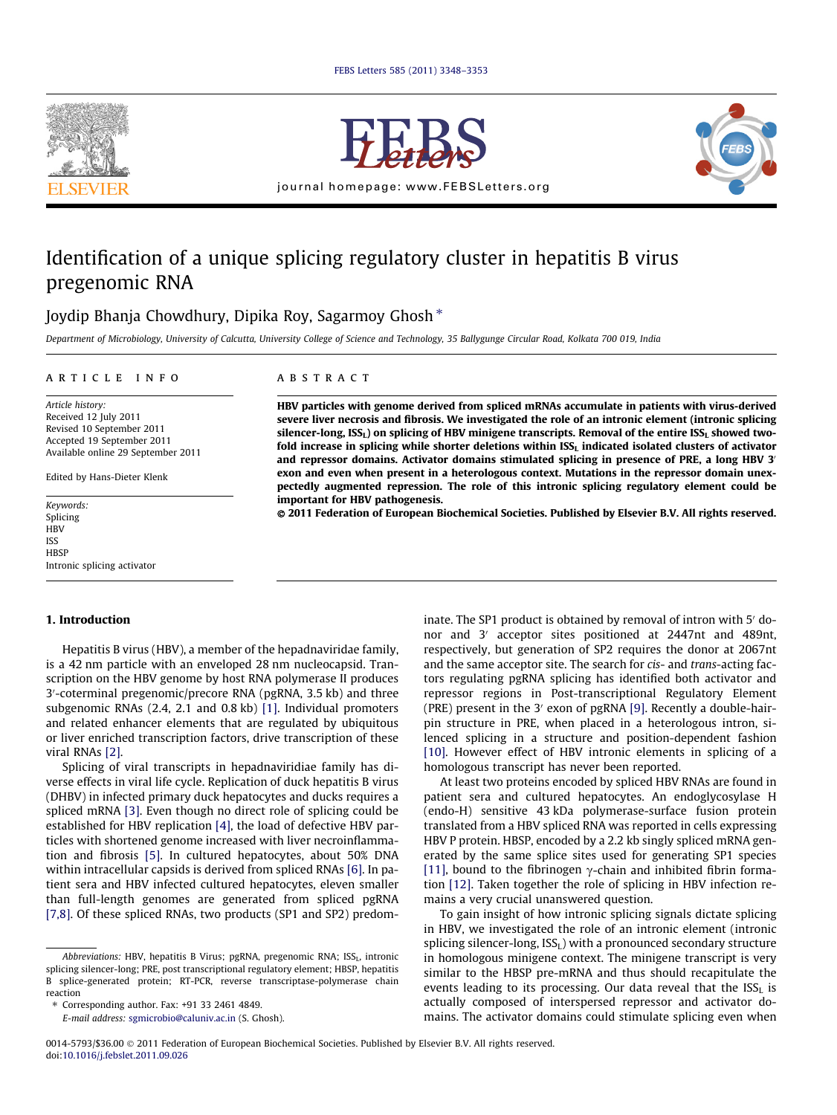



journal homepage: www.FEBSLetters.org



# Identification of a unique splicing regulatory cluster in hepatitis B virus pregenomic RNA

Joydip Bhanja Chowdhury, Dipika Roy, Sagarmoy Ghosh<sup>\*</sup>

*Department of Microbiology, University of Calcutta, University College of Science and Technology, 35 Ballygunge Circular Road, Kolkata 700 019, India*

## article info

*Article history:* Received 12 July 2011 Revised 10 September 2011 Accepted 19 September 2011 Available online 29 September 2011

Edited by Hans-Dieter Klenk

*Keywords:* Splicing **HBV** ISS **HBSP** Intronic splicing activator

## 1. Introduction

Hepatitis B virus (HBV), a member of the hepadnaviridae family, is a 42 nm particle with an enveloped 28 nm nucleocapsid. Transcription on the HBV genome by host RNA polymerase II produces 3 0 -coterminal pregenomic/precore RNA (pgRNA, 3.5 kb) and three subgenomic RNAs (2.4, 2.1 and 0.8 kb) [1]. Individual promoters and related enhancer elements that are regulated by ubiquitous or liver enriched transcription factors, drive transcription of these viral RNAs [2].

Splicing of viral transcripts in hepadnaviridiae family has diverse effects in viral life cycle. Replication of duck hepatitis B virus (DHBV) in infected primary duck hepatocytes and ducks requires a spliced mRNA [3]. Even though no direct role of splicing could be established for HBV replication [4], the load of defective HBV particles with shortened genome increased with liver necroinflammation and fibrosis [5]. In cultured hepatocytes, about 50% DNA within intracellular capsids is derived from spliced RNAs [6]. In patient sera and HBV infected cultured hepatocytes, eleven smaller than full-length genomes are generated from spliced pgRNA [7,8]. Of these spliced RNAs, two products (SP1 and SP2) predom-

## ABSTRACT

HBV particles with genome derived from spliced mRNAs accumulate in patients with virus-derived severe liver necrosis and fibrosis. We investigated the role of an intronic element (intronic splicing silencer-long,  $ISS<sub>L</sub>$ ) on splicing of HBV minigene transcripts. Removal of the entire  $ISS<sub>L</sub>$  showed twofold increase in splicing while shorter deletions within  $ISS<sub>L</sub>$  indicated isolated clusters of activator and repressor domains. Activator domains stimulated splicing in presence of PRE, a long HBV 3' exon and even when present in a heterologous context. Mutations in the repressor domain unexpectedly augmented repression. The role of this intronic splicing regulatory element could be important for HBV pathogenesis.

- 2011 Federation of European Biochemical Societies. Published by Elsevier B.V. All rights reserved.

inate. The SP1 product is obtained by removal of intron with 5' donor and 3' acceptor sites positioned at 2447nt and 489nt, respectively, but generation of SP2 requires the donor at 2067nt and the same acceptor site. The search for *cis*- and *trans*-acting factors regulating pgRNA splicing has identified both activator and repressor regions in Post-transcriptional Regulatory Element (PRE) present in the 3' exon of pgRNA  $[9]$ . Recently a double-hairpin structure in PRE, when placed in a heterologous intron, silenced splicing in a structure and position-dependent fashion [10]. However effect of HBV intronic elements in splicing of a homologous transcript has never been reported.

At least two proteins encoded by spliced HBV RNAs are found in patient sera and cultured hepatocytes. An endoglycosylase H (endo-H) sensitive 43 kDa polymerase-surface fusion protein translated from a HBV spliced RNA was reported in cells expressing HBV P protein. HBSP, encoded by a 2.2 kb singly spliced mRNA generated by the same splice sites used for generating SP1 species [11], bound to the fibrinogen  $\gamma$ -chain and inhibited fibrin formation [12]. Taken together the role of splicing in HBV infection remains a very crucial unanswered question.

To gain insight of how intronic splicing signals dictate splicing in HBV, we investigated the role of an intronic element (intronic splicing silencer-long,  $ISS<sub>L</sub>$ ) with a pronounced secondary structure in homologous minigene context. The minigene transcript is very similar to the HBSP pre-mRNA and thus should recapitulate the events leading to its processing. Our data reveal that the  $ISS<sub>L</sub>$  is actually composed of interspersed repressor and activator domains. The activator domains could stimulate splicing even when

*Abbreviations:* HBV, hepatitis B Virus; pgRNA, pregenomic RNA; ISS<sub>L</sub>, intronic splicing silencer-long; PRE, post transcriptional regulatory element; HBSP, hepatitis B splice-generated protein; RT-PCR, reverse transcriptase-polymerase chain reaction

<sup>⇑</sup> Corresponding author. Fax: +91 33 2461 4849.

*E-mail address:* sgmicrobio@caluniv.ac.in (S. Ghosh).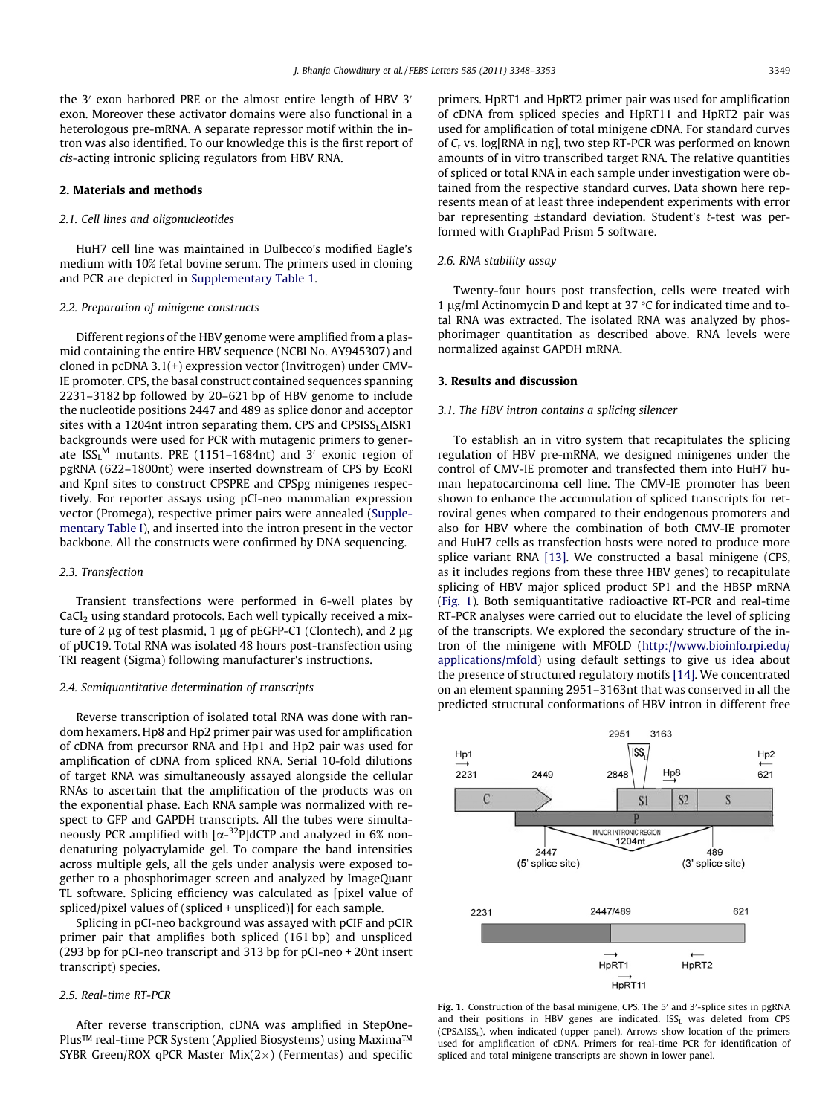the  $3'$  exon harbored PRE or the almost entire length of HBV  $3'$ exon. Moreover these activator domains were also functional in a heterologous pre-mRNA. A separate repressor motif within the intron was also identified. To our knowledge this is the first report of *cis*-acting intronic splicing regulators from HBV RNA.

#### 2. Materials and methods

## *2.1. Cell lines and oligonucleotides*

HuH7 cell line was maintained in Dulbecco's modified Eagle's medium with 10% fetal bovine serum. The primers used in cloning and PCR are depicted in Supplementary Table 1.

#### *2.2. Preparation of minigene constructs*

Different regions of the HBV genome were amplified from a plasmid containing the entire HBV sequence (NCBI No. AY945307) and cloned in pcDNA 3.1(+) expression vector (Invitrogen) under CMV-IE promoter. CPS, the basal construct contained sequences spanning 2231–3182 bp followed by 20–621 bp of HBV genome to include the nucleotide positions 2447 and 489 as splice donor and acceptor sites with a 1204nt intron separating them. CPS and  $CPSISS<sub>L</sub>\Delta ISR1$ backgrounds were used for PCR with mutagenic primers to generate  $ISS_{L}^{\,M}$  mutants. PRE (1151–1684nt) and 3' exonic region of pgRNA (622–1800nt) were inserted downstream of CPS by EcoRI and KpnI sites to construct CPSPRE and CPSpg minigenes respectively. For reporter assays using pCI-neo mammalian expression vector (Promega), respective primer pairs were annealed (Supplementary Table I), and inserted into the intron present in the vector backbone. All the constructs were confirmed by DNA sequencing.

## *2.3. Transfection*

Transient transfections were performed in 6-well plates by  $CaCl<sub>2</sub>$  using standard protocols. Each well typically received a mixture of 2  $\mu$ g of test plasmid, 1  $\mu$ g of pEGFP-C1 (Clontech), and 2  $\mu$ g of pUC19. Total RNA was isolated 48 hours post-transfection using TRI reagent (Sigma) following manufacturer's instructions.

#### *2.4. Semiquantitative determination of transcripts*

Reverse transcription of isolated total RNA was done with random hexamers. Hp8 and Hp2 primer pair was used for amplification of cDNA from precursor RNA and Hp1 and Hp2 pair was used for amplification of cDNA from spliced RNA. Serial 10-fold dilutions of target RNA was simultaneously assayed alongside the cellular RNAs to ascertain that the amplification of the products was on the exponential phase. Each RNA sample was normalized with respect to GFP and GAPDH transcripts. All the tubes were simultaneously PCR amplified with  $\left[\alpha^{-32}P\right]$ dCTP and analyzed in 6% nondenaturing polyacrylamide gel. To compare the band intensities across multiple gels, all the gels under analysis were exposed together to a phosphorimager screen and analyzed by ImageQuant TL software. Splicing efficiency was calculated as [pixel value of spliced/pixel values of (spliced + unspliced)] for each sample.

Splicing in pCI-neo background was assayed with pCIF and pCIR primer pair that amplifies both spliced (161 bp) and unspliced (293 bp for pCI-neo transcript and 313 bp for pCI-neo + 20nt insert transcript) species.

# *2.5. Real-time RT-PCR*

After reverse transcription, cDNA was amplified in StepOne-Plus™ real-time PCR System (Applied Biosystems) using Maxima™ SYBR Green/ROX qPCR Master  $Mix(2\times)$  (Fermentas) and specific

primers. HpRT1 and HpRT2 primer pair was used for amplification of cDNA from spliced species and HpRT11 and HpRT2 pair was used for amplification of total minigene cDNA. For standard curves of *C*<sup>t</sup> vs. log[RNA in ng], two step RT-PCR was performed on known amounts of in vitro transcribed target RNA. The relative quantities of spliced or total RNA in each sample under investigation were obtained from the respective standard curves. Data shown here represents mean of at least three independent experiments with error bar representing ±standard deviation. Student's *t*-test was performed with GraphPad Prism 5 software.

#### *2.6. RNA stability assay*

Twenty-four hours post transfection, cells were treated with 1 µg/ml Actinomycin D and kept at 37  $\degree$ C for indicated time and total RNA was extracted. The isolated RNA was analyzed by phosphorimager quantitation as described above. RNA levels were normalized against GAPDH mRNA.

#### 3. Results and discussion

#### *3.1. The HBV intron contains a splicing silencer*

To establish an in vitro system that recapitulates the splicing regulation of HBV pre-mRNA, we designed minigenes under the control of CMV-IE promoter and transfected them into HuH7 human hepatocarcinoma cell line. The CMV-IE promoter has been shown to enhance the accumulation of spliced transcripts for retroviral genes when compared to their endogenous promoters and also for HBV where the combination of both CMV-IE promoter and HuH7 cells as transfection hosts were noted to produce more splice variant RNA [13]. We constructed a basal minigene (CPS, as it includes regions from these three HBV genes) to recapitulate splicing of HBV major spliced product SP1 and the HBSP mRNA (Fig. 1). Both semiquantitative radioactive RT-PCR and real-time RT-PCR analyses were carried out to elucidate the level of splicing of the transcripts. We explored the secondary structure of the intron of the minigene with MFOLD (http://www.bioinfo.rpi.edu/ applications/mfold) using default settings to give us idea about the presence of structured regulatory motifs [14]. We concentrated on an element spanning 2951–3163nt that was conserved in all the predicted structural conformations of HBV intron in different free



Fig. 1. Construction of the basal minigene, CPS. The 5' and 3'-splice sites in pgRNA and their positions in HBV genes are indicated. ISS<sub>L</sub> was deleted from CPS  $(CPSAISS<sub>L</sub>)$ , when indicated (upper panel). Arrows show location of the primers used for amplification of cDNA. Primers for real-time PCR for identification of spliced and total minigene transcripts are shown in lower panel.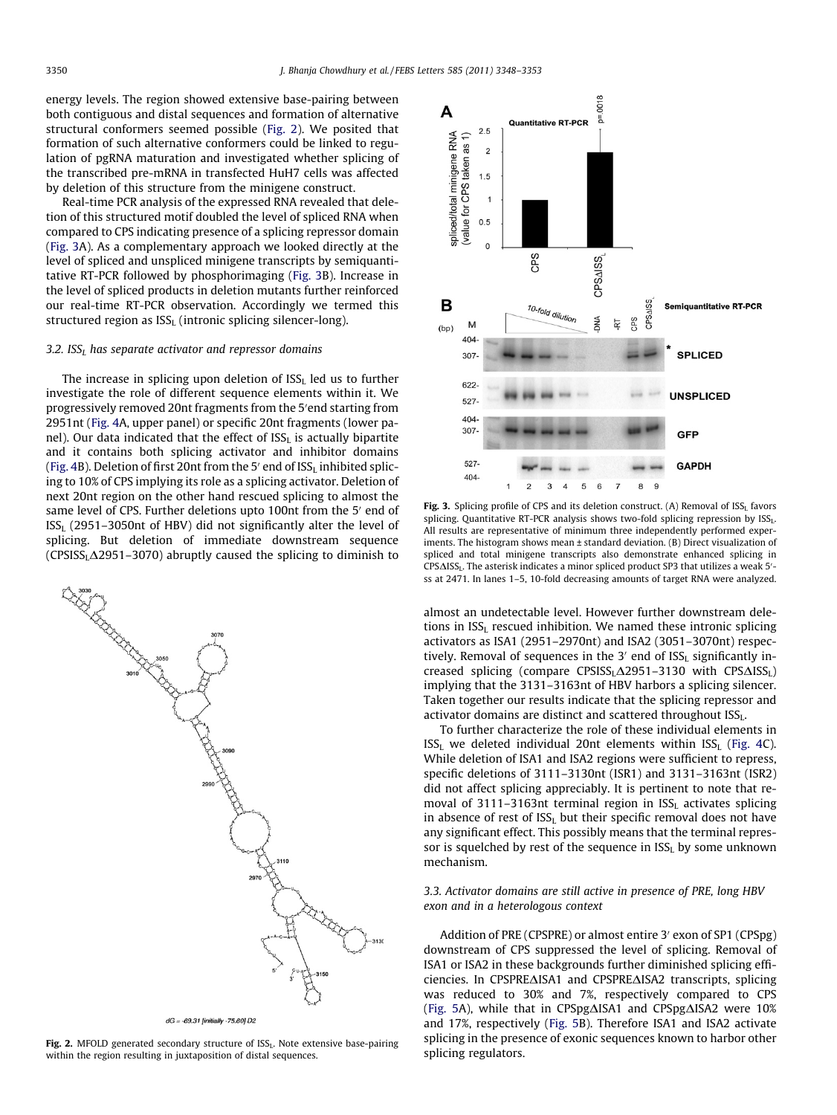energy levels. The region showed extensive base-pairing between both contiguous and distal sequences and formation of alternative structural conformers seemed possible (Fig. 2). We posited that formation of such alternative conformers could be linked to regulation of pgRNA maturation and investigated whether splicing of the transcribed pre-mRNA in transfected HuH7 cells was affected by deletion of this structure from the minigene construct.

Real-time PCR analysis of the expressed RNA revealed that deletion of this structured motif doubled the level of spliced RNA when compared to CPS indicating presence of a splicing repressor domain (Fig. 3A). As a complementary approach we looked directly at the level of spliced and unspliced minigene transcripts by semiquantitative RT-PCR followed by phosphorimaging (Fig. 3B). Increase in the level of spliced products in deletion mutants further reinforced our real-time RT-PCR observation. Accordingly we termed this structured region as  $ISS<sub>L</sub>$  (intronic splicing silencer-long).

#### *3.2. ISS<sup>L</sup> has separate activator and repressor domains*

The increase in splicing upon deletion of  $ISS<sub>I</sub>$  led us to further investigate the role of different sequence elements within it. We progressively removed 20nt fragments from the 5'end starting from 2951nt (Fig. 4A, upper panel) or specific 20nt fragments (lower panel). Our data indicated that the effect of  $ISS<sub>L</sub>$  is actually bipartite and it contains both splicing activator and inhibitor domains (Fig. 4B). Deletion of first 20nt from the 5 $^{\prime}$  end of ISS<sub>L</sub> inhibited splicing to 10% of CPS implying its role as a splicing activator. Deletion of next 20nt region on the other hand rescued splicing to almost the same level of CPS. Further deletions upto 100nt from the 5' end of  $ISS<sub>L</sub>$  (2951–3050nt of HBV) did not significantly alter the level of splicing. But deletion of immediate downstream sequence  $(CPSISS<sub>L</sub>Δ2951–3070)$  abruptly caused the splicing to diminish to



 $dG = -69.31$  [initially -75.60] D2

Fig. 2. MFOLD generated secondary structure of ISS<sub>L</sub>. Note extensive base-pairing within the region resulting in juxtaposition of distal sequences.



**Fig. 3.** Splicing profile of CPS and its deletion construct. (A) Removal of  $ISS<sub>L</sub>$  favors splicing. Quantitative RT-PCR analysis shows two-fold splicing repression by ISSL. All results are representative of minimum three independently performed experiments. The histogram shows mean ± standard deviation. (B) Direct visualization of spliced and total minigene transcripts also demonstrate enhanced splicing in  $CPS \triangle ISS_L$ . The asterisk indicates a minor spliced product SP3 that utilizes a weak 5'ss at 2471. In lanes 1–5, 10-fold decreasing amounts of target RNA were analyzed.

almost an undetectable level. However further downstream deletions in  $ISS<sub>L</sub>$  rescued inhibition. We named these intronic splicing activators as ISA1 (2951–2970nt) and ISA2 (3051–3070nt) respectively. Removal of sequences in the  $3'$  end of  $ISS<sub>L</sub>$  significantly increased splicing (compare CPSISS<sub>L</sub> $\Delta$ 2951–3130 with CPS $\Delta$ ISS<sub>L</sub>) implying that the 3131–3163nt of HBV harbors a splicing silencer. Taken together our results indicate that the splicing repressor and activator domains are distinct and scattered throughout  $ISS_{L}$ .

To further characterize the role of these individual elements in  $ISS<sub>L</sub>$  we deleted individual 20nt elements within  $ISS<sub>L</sub>$  (Fig. 4C). While deletion of ISA1 and ISA2 regions were sufficient to repress, specific deletions of 3111–3130nt (ISR1) and 3131–3163nt (ISR2) did not affect splicing appreciably. It is pertinent to note that removal of 3111-3163nt terminal region in ISSL activates splicing in absence of rest of  $ISS<sub>L</sub>$  but their specific removal does not have any significant effect. This possibly means that the terminal repressor is squelched by rest of the sequence in  $ISS<sub>L</sub>$  by some unknown mechanism.

## *3.3. Activator domains are still active in presence of PRE, long HBV exon and in a heterologous context*

Addition of PRE (CPSPRE) or almost entire 3' exon of SP1 (CPSpg) downstream of CPS suppressed the level of splicing. Removal of ISA1 or ISA2 in these backgrounds further diminished splicing efficiencies. In CPSPRE $\triangle$ ISA1 and CPSPRE $\triangle$ ISA2 transcripts, splicing was reduced to 30% and 7%, respectively compared to CPS (Fig. 5A), while that in CPSpg $\Delta$ ISA1 and CPSpg $\Delta$ ISA2 were 10% and 17%, respectively (Fig. 5B). Therefore ISA1 and ISA2 activate splicing in the presence of exonic sequences known to harbor other splicing regulators.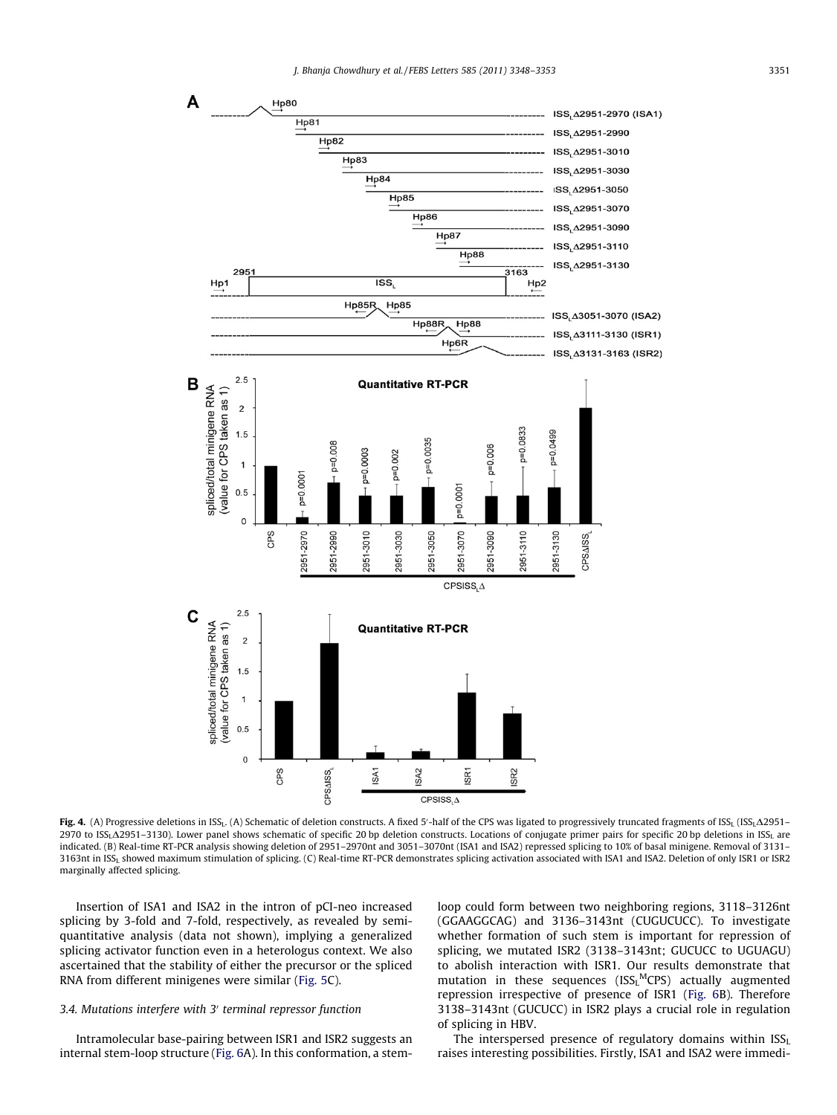

Fig. 4. (A) Progressive deletions in ISS<sub>L</sub>. (A) Schematic of deletion constructs. A fixed 5'-half of the CPS was ligated to progressively truncated fragments of ISS<sub>L</sub> (ISS<sub>L</sub>A2951-2970 to ISS<sub>L</sub>A2951-3130). Lower panel shows schematic of specific 20 bp deletion constructs. Locations of conjugate primer pairs for specific 20 bp deletions in ISS<sub>L</sub> are indicated. (B) Real-time RT-PCR analysis showing deletion of 2951–2970nt and 3051–3070nt (ISA1 and ISA2) repressed splicing to 10% of basal minigene. Removal of 3131– 3163nt in ISS<sub>L</sub> showed maximum stimulation of splicing. (C) Real-time RT-PCR demonstrates splicing activation associated with ISA1 and ISA2. Deletion of only ISR1 or ISR2 marginally affected splicing.

Insertion of ISA1 and ISA2 in the intron of pCI-neo increased splicing by 3-fold and 7-fold, respectively, as revealed by semiquantitative analysis (data not shown), implying a generalized splicing activator function even in a heterologus context. We also ascertained that the stability of either the precursor or the spliced RNA from different minigenes were similar (Fig. 5C).

# *3.4. Mutations interfere with 3*<sup>0</sup> *terminal repressor function*

Intramolecular base-pairing between ISR1 and ISR2 suggests an internal stem-loop structure (Fig. 6A). In this conformation, a stemloop could form between two neighboring regions, 3118–3126nt (GGAAGGCAG) and 3136–3143nt (CUGUCUCC). To investigate whether formation of such stem is important for repression of splicing, we mutated ISR2 (3138–3143nt; GUCUCC to UGUAGU) to abolish interaction with ISR1. Our results demonstrate that mutation in these sequences (ISSL<sup>M</sup>CPS) actually augmented repression irrespective of presence of ISR1 (Fig. 6B). Therefore 3138–3143nt (GUCUCC) in ISR2 plays a crucial role in regulation of splicing in HBV.

The interspersed presence of regulatory domains within  $ISS<sub>L</sub>$ raises interesting possibilities. Firstly, ISA1 and ISA2 were immedi-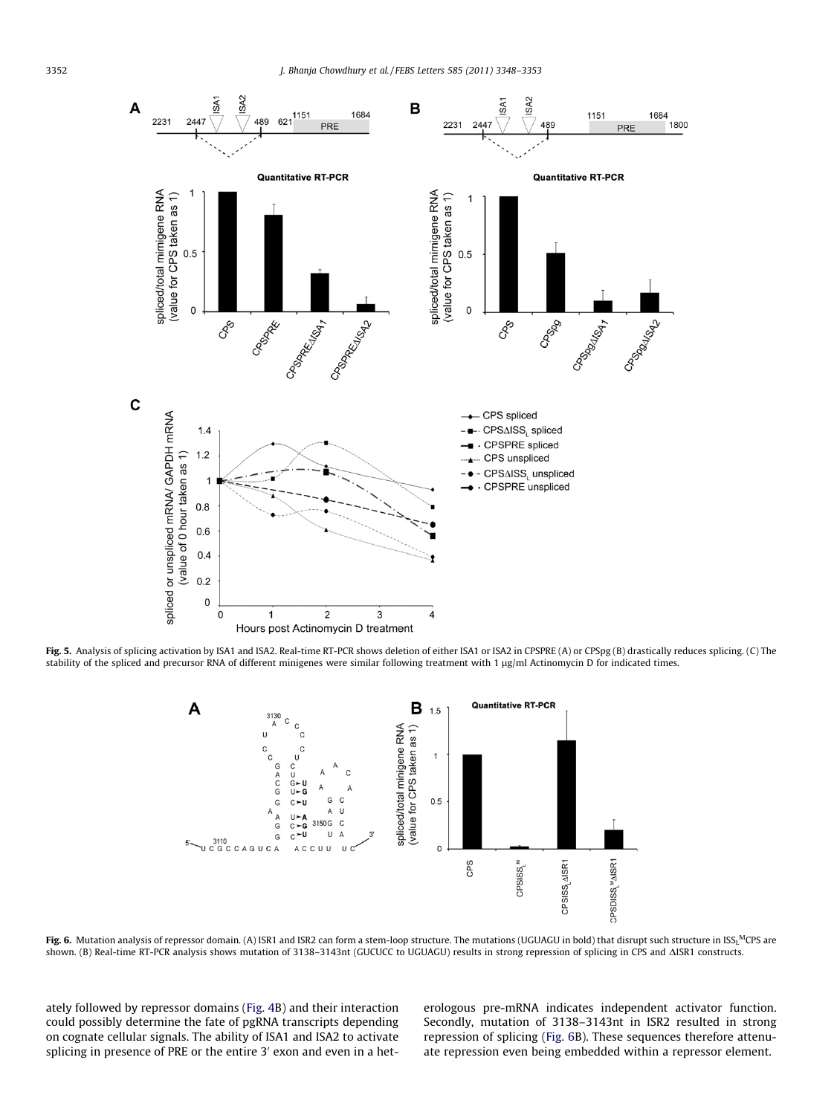

Fig. 5. Analysis of splicing activation by ISA1 and ISA2. Real-time RT-PCR shows deletion of either ISA1 or ISA2 in CPSPRE (A) or CPSpg (B) drastically reduces splicing. (C) The stability of the spliced and precursor RNA of different minigenes were similar following treatment with 1 µg/ml Actinomycin D for indicated times.



**Fig. 6.** Mutation analysis of repressor domain. (A) ISR1 and ISR2 can form a stem-loop structure. The mutations (UGUAGU in bold) that disrupt such structure in ISS<sub>L</sub>MCPS are shown. (B) Real-time RT-PCR analysis shows mutation of 3138-3143nt (GUCUCC to UGUAGU) results in strong repression of splicing in CPS and  $\Delta$ ISR1 constructs.

ately followed by repressor domains (Fig. 4B) and their interaction could possibly determine the fate of pgRNA transcripts depending on cognate cellular signals. The ability of ISA1 and ISA2 to activate splicing in presence of PRE or the entire 3' exon and even in a heterologous pre-mRNA indicates independent activator function. Secondly, mutation of 3138–3143nt in ISR2 resulted in strong repression of splicing (Fig. 6B). These sequences therefore attenuate repression even being embedded within a repressor element.